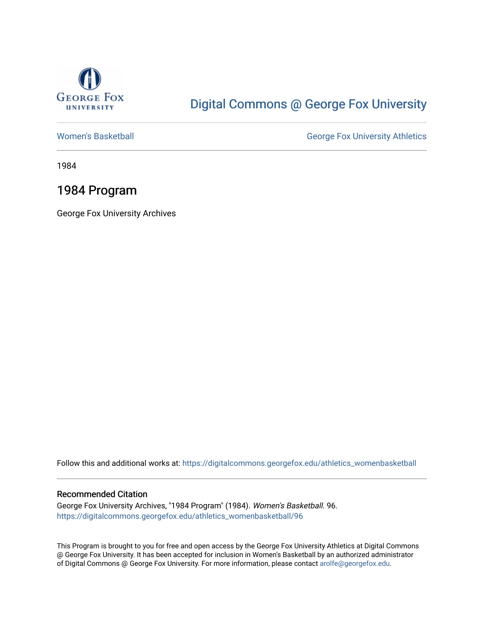

### [Digital Commons @ George Fox University](https://digitalcommons.georgefox.edu/)

[Women's Basketball](https://digitalcommons.georgefox.edu/athletics_womenbasketball) **George Fox University Athletics** 

1984

### 1984 Program

George Fox University Archives

Follow this and additional works at: [https://digitalcommons.georgefox.edu/athletics\\_womenbasketball](https://digitalcommons.georgefox.edu/athletics_womenbasketball?utm_source=digitalcommons.georgefox.edu%2Fathletics_womenbasketball%2F96&utm_medium=PDF&utm_campaign=PDFCoverPages) 

#### Recommended Citation

George Fox University Archives, "1984 Program" (1984). Women's Basketball. 96. [https://digitalcommons.georgefox.edu/athletics\\_womenbasketball/96](https://digitalcommons.georgefox.edu/athletics_womenbasketball/96?utm_source=digitalcommons.georgefox.edu%2Fathletics_womenbasketball%2F96&utm_medium=PDF&utm_campaign=PDFCoverPages)

This Program is brought to you for free and open access by the George Fox University Athletics at Digital Commons @ George Fox University. It has been accepted for inclusion in Women's Basketball by an authorized administrator of Digital Commons @ George Fox University. For more information, please contact [arolfe@georgefox.edu](mailto:arolfe@georgefox.edu).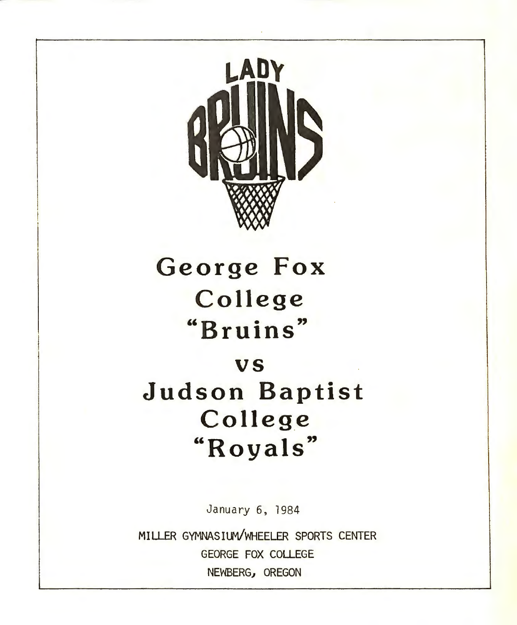

# **George Fox College "Bruins"**

### **vs**

## **Judson Baptist Colleg\_e "Royals"**

January 6, 1984

MILLER GYMNASIUM/WHEELER SPORTS CENTER GEORGE FOX COLLEGE NEWBERG, OREGON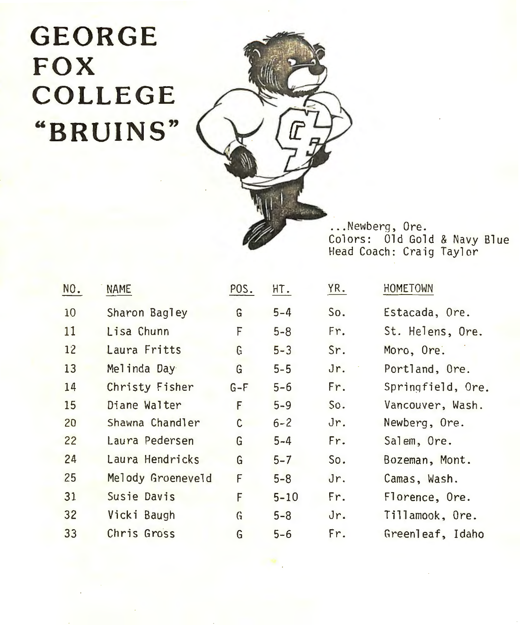# **GEORGE FOX COLLEGE "BRUINS"**



... Newberg, Ore. Colors: Old Gold & Navy Blue Head Coach: Craig Taylor

| NO. | <b>NAME</b>       | POS.  | HT.      | YR. | HOMETOWN          |
|-----|-------------------|-------|----------|-----|-------------------|
| 10  | Sharon Bagley     | G     | $5 - 4$  | So. | Estacada, Ore.    |
| 11  | Lisa Chunn        | F     | $5 - 8$  | Fr. | St. Helens, Ore.  |
| 12  | Laura Fritts      | G     | $5 - 3$  | Sr. | Moro, Ore.        |
| 13  | Melinda Day       | G     | $5 - 5$  | Jr. | Portland, Ore.    |
| 14  | Christy Fisher    | $G-F$ | $5 - 6$  | Fr. | Springfield, Ore. |
| 15  | Diane Walter      | F     | $5 - 9$  | So. | Vancouver, Wash.  |
| 20  | Shawna Chandler   | C     | $6 - 2$  | Jr. | Newberg, Ore.     |
| 22  | Laura Pedersen    | G     | $5 - 4$  | Fr. | Salem, Ore.       |
| 24  | Laura Hendricks   | G     | $5 - 7$  | So. | Bozeman, Mont.    |
| 25  | Melody Groeneveld | F     | $5 - 8$  | Jr. | Camas, Wash.      |
| 31  | Susie Davis       | F     | $5 - 10$ | Fr. | Florence, Ore.    |
| 32  | Vicki Baugh       | G     | $5 - 8$  | Jr. | Tillamook, Ore.   |
| 33  | Chris Gross       | G     | $5 - 6$  | Fr. | Greenleaf, Idaho  |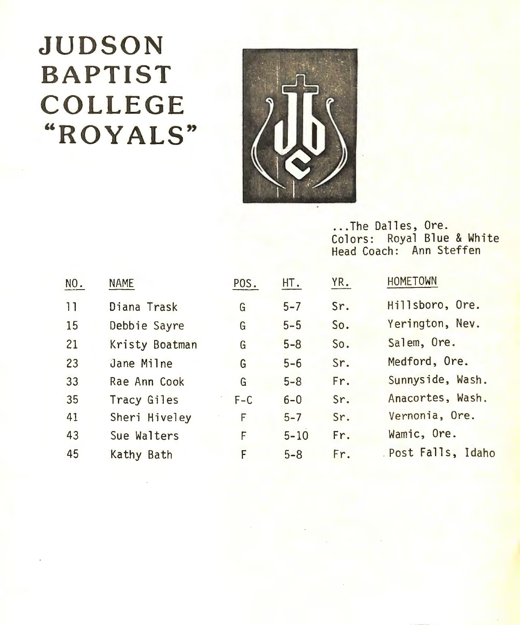# **JUDSON BAPTIST COLLEGE "ROYALS"**



### ... The Dalles, Ore. Colors: Royal Blue & White Head Coach: Ann Steffen

| NO. | <b>NAME</b>    | POS.    | HT.      | YR. | <b>HOMETOWN</b>   |
|-----|----------------|---------|----------|-----|-------------------|
| 11  | Diana Trask    | G       | $5 - 7$  | Sr. | Hillsboro, Ore.   |
| 15  | Debbie Sayre   | G       | $5 - 5$  | So. | Yerington, Nev.   |
| 21  | Kristy Boatman | G       | $5 - 8$  | So. | Salem, Ore.       |
| 23  | Jane Milne     | G       | $5 - 6$  | Sr. | Medford, Ore.     |
| 33  | Rae Ann Cook   | G       | $5 - 8$  | Fr. | Sunnyside, Wash.  |
| 35  | Tracy Giles    | $F - C$ | $6-0$    | Sr. | Anacortes, Wash.  |
| 41  | Sheri Hiveley  | F       | $5 - 7$  | Sr. | Vernonia, Ore.    |
| 43  | Sue Walters    | F       | $5 - 10$ | Fr. | Wamic, Ore.       |
| 45  | Kathy Bath     | F       | $5 - 8$  | Fr. | Post Falls, Idaho |